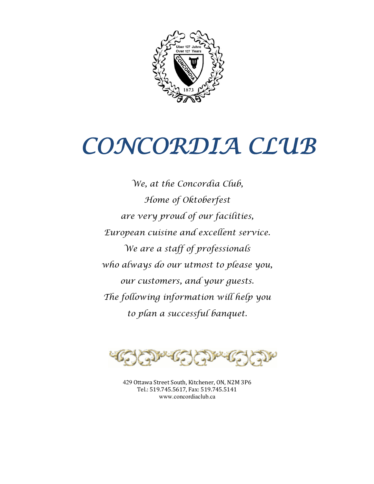

*We, at the Concordia Club, Home of Oktoberfest are very proud of our facilities, European cuisine and excellent service. We are a staff of professionals who always do our utmost to please you, our customers, and your guests. The following information will help you to plan a successful banquet.*



429 Ottawa Street South, Kitchener, ON, N2M 3P6 Tel.: 519.745.5617, Fax: 519.745.5141 www.concordiaclub.ca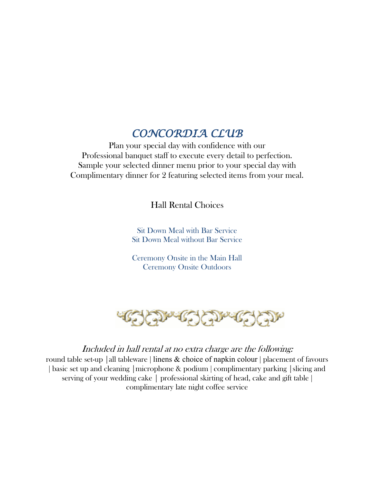*CONCORDIA CLUB* Plan your special day with confidence with our Professional banquet staff to execute every detail to perfection. Sample your selected dinner menu prior to your special day with Complimentary dinner for 2 featuring selected items from your meal.

Hall Rental Choices

Sit Down Meal with Bar Service Sit Down Meal without Bar Service

Ceremony Onsite in the Main Hall Ceremony Onsite Outdoors



#### Included in hall rental at no extra charge are the following:

round table set-up | all tableware | linens  $\&$  choice of napkin colour | placement of favours | basic set up and cleaning | microphone & podium | complimentary parking | slicing and serving of your wedding cake | professional skirting of head, cake and gift table | complimentary late night coffee service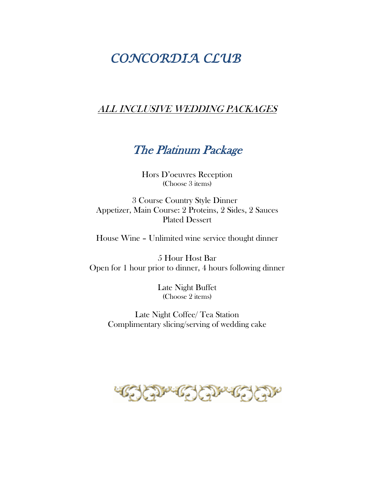#### ALL INCLUSIVE WEDDING PACKAGES

### The Platinum Package

Hors D'oeuvres Reception (Choose 3 items)

3 Course Country Style Dinner Appetizer, Main Course: 2 Proteins, 2 Sides, 2 Sauces Plated Dessert

House Wine – Unlimited wine service thought dinner

5 Hour Host Bar Open for 1 hour prior to dinner, 4 hours following dinner

> Late Night Buffet (Choose 2 items)

Late Night Coffee/ Tea Station Complimentary slicing/serving of wedding cake

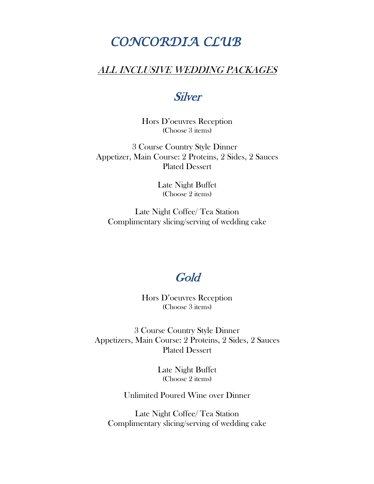### ALL INCLUSIVE WEDDING PACKAGES

### **Silver**

Hors D'oeuvres Reception (Choose 3 items)

3 Course Country Style Dinner Appetizer, Main Course: 2 Proteins, 2 Sides, 2 Sauces Plated Dessert

> Late Night Buffet (Choose 2 items)

Late Night Coffee/ Tea Station Complimentary slicing/serving of wedding cake

### Gold

Hors D'oeuvres Reception (Choose 3 items)

3 Course Country Style Dinner Appetizers, Main Course: 2 Proteins, 2 Sides, 2 Sauces Plated Dessert

> Late Night Buffet (Choose 2 items)

Unlimited Poured Wine over Dinner

Late Night Coffee/ Tea Station Complimentary slicing/serving of wedding cake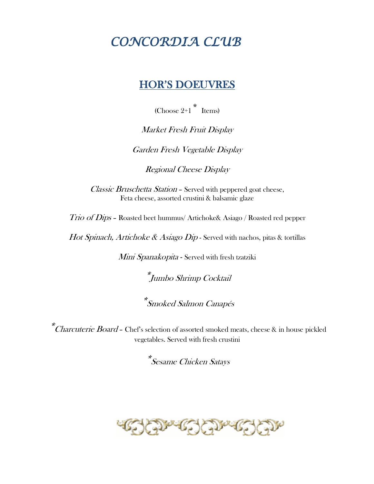### **HOR'S DOEUVRES**

(Choose  $2+1$ <sup>\*</sup> Items)

Market Fresh Fruit Display

Garden Fresh Vegetable Display

Regional Cheese Display

Classic Bruschetta Station - Served with peppered goat cheese, Feta cheese, assorted crustini & balsamic glaze

Trio of Dips – Roasted beet hummus/ Artichoke& Asiago / Roasted red pepper

*Hot Spinach, Artichoke & Asiago Dip* - Served with nachos, pitas & tortillas

Mini Spanakopita - Served with fresh tzatziki

\*Jumbo Shrimp Cocktail

\*Smoked Salmon Canapés

\*Charcuterie Board - Chef's selection of assorted smoked meats, cheese & in house pickled vegetables. Served with fresh crustini

\*Sesame Chicken Satays

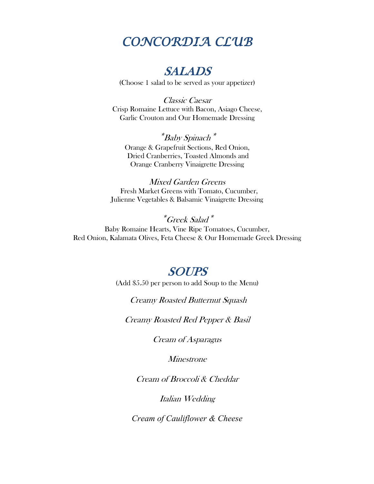### SALADS

(Choose 1 salad to be served as your appetizer)

Classic Caesar Crisp Romaine Lettuce with Bacon, Asiago Cheese, Garlic Crouton and Our Homemade Dressing

\*Baby Spinach\* Orange & Grapefruit Sections, Red Onion, Dried Cranberries, Toasted Almonds and Orange Cranberry Vinaigrette Dressing

Mixed Garden Greens Fresh Market Greens with Tomato, Cucumber, Julienne Vegetables & Balsamic Vinaigrette Dressing

\*Greek Salad\* Baby Romaine Hearts, Vine Ripe Tomatoes, Cucumber, Red Onion, Kalamata Olives, Feta Cheese & Our Homemade Greek Dressing

### SOUPS

(Add \$5.50 per person to add Soup to the Menu)

Creamy Roasted Butternut Squash

Creamy Roasted Red Pepper & Basil

Cream of Asparagus

Minestrone

Cream of Broccoli & Cheddar

Italian Wedding

*Cream of Cauliflower & Cheese*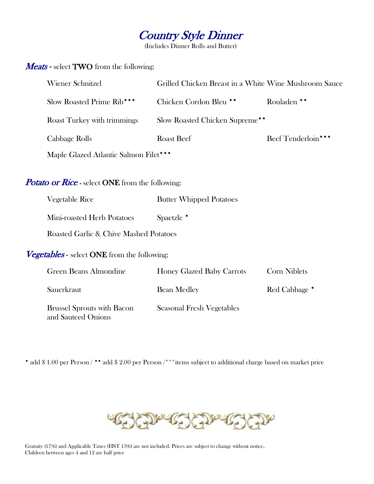

(Includes Dinner Rolls and Butter)

#### Meats - select TWO from the following:

| <b>Wiener Schnitzel</b>               | Grilled Chicken Breast in a White Wine Mushroom Sauce |                    |
|---------------------------------------|-------------------------------------------------------|--------------------|
| Slow Roasted Prime Rib***             | Chicken Cordon Bleu **                                | Rouladen **        |
| <b>Roast Turkey with trimmings</b>    | Slow Roasted Chicken Supreme**                        |                    |
| Cabbage Rolls                         | <b>Roast Beef</b>                                     | Beef Tenderloin*** |
| Maple Glazed Atlantic Salmon Filet*** |                                                       |                    |

#### Potato or Rice - select ONE from the following:

| Vegetable Rice                                     | <b>Butter Whipped Potatoes</b> |
|----------------------------------------------------|--------------------------------|
| Mini-roasted Herb Potatoes                         | Spaetzle *                     |
| Roasted Garlic & Chive Mashed Potatoes             |                                |
| <i>Vegetables</i> - select ONE from the following: |                                |

| Green Beans Almondine                                   | <b>Honey Glazed Baby Carrots</b> | <b>Corn Niblets</b> |
|---------------------------------------------------------|----------------------------------|---------------------|
| Sauerkraut                                              | <b>Bean Medley</b>               | Red Cabbage *       |
| <b>Brussel Sprouts with Bacon</b><br>and Sauteed Onions | Seasonal Fresh Vegetables        |                     |

\* add \$ 1.00 per Person / \*\* add \$ 2.00 per Person /\*\*\*items subject to additional charge based on market price



Gratuity (17%) and Applicable Taxes (HST 13%) are not included. Prices are subject to change without notice. Children between ages 4 and 12 are half price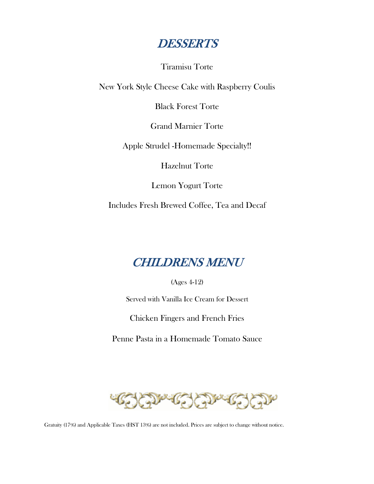

Tiramisu Torte

New York Style Cheese Cake with Raspberry Coulis

Black Forest Torte

Grand Marnier Torte

Apple Strudel -Homemade Specialty!!

Hazelnut Torte

Lemon Yogurt Torte

Includes Fresh Brewed Coffee, Tea and Decaf

### CHILDRENS MENU

(Ages 4-12)

Served with Vanilla Ice Cream for Dessert

Chicken Fingers and French Fries

Penne Pasta in a Homemade Tomato Sauce



Gratuity (17%) and Applicable Taxes (HST 13%) are not included. Prices are subject to change without notice.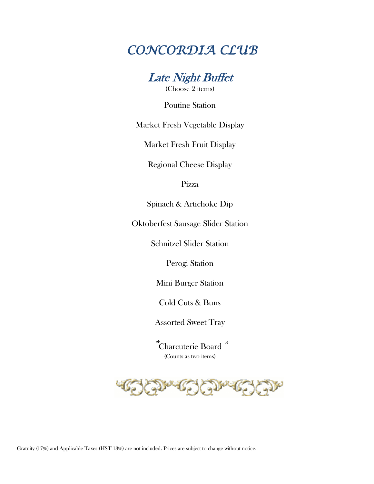

Poutine Station

Market Fresh Vegetable Display

Market Fresh Fruit Display

Regional Cheese Display

Pizza

Spinach & Artichoke Dip

Oktoberfest Sausage Slider Station

Schnitzel Slider Station

Perogi Station

Mini Burger Station

Cold Cuts & Buns

Assorted Sweet Tray

\*Charcuterie Board\* (Counts as two items)



Gratuity (17%) and Applicable Taxes (HST 13%) are not included. Prices are subject to change without notice.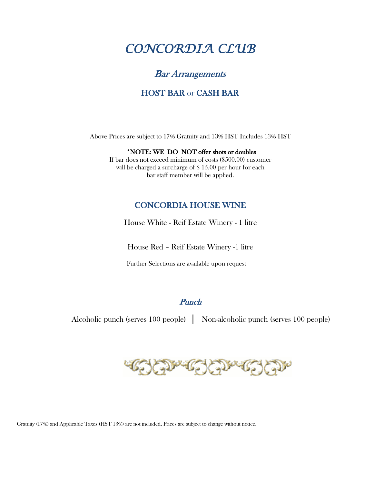#### Bar Arrangements

#### HOST BAR or CASH BAR

Above Prices are subject to 17% Gratuity and 13% HST Includes 13% HST

#### \*NOTE: WE DO NOT offer shots or doubles

If bar does not exceed minimum of costs (\$500.00) customer will be charged a surcharge of \$15.00 per hour for each bar staff member will be applied.

#### CONCORDIA HOUSE WINE

House White - Reif Estate Winery - 1 litre

House Red – Reif Estate Winery -1 litre

Further Selections are available upon request

#### **Punch**

Alcoholic punch (serves 100 people) │ Non-alcoholic punch (serves 100 people)

Gratuity (17%) and Applicable Taxes (HST 13%) are not included. Prices are subject to change without notice.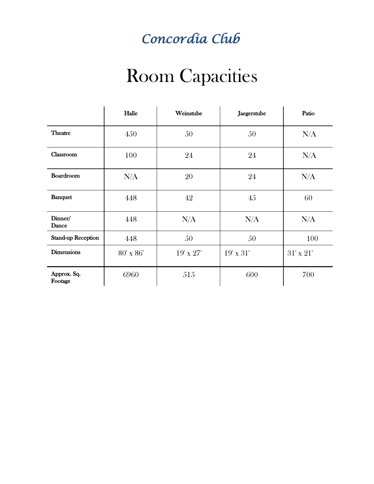## *Concordia Club*

## Room Capacities

|                           | Halle         | Weinstube        | Jaegerstube      | Patio            |
|---------------------------|---------------|------------------|------------------|------------------|
| <b>Theatre</b>            | 450           | 50               | 50               | N/A              |
| Classroom                 | 100           | 24               | 24               | N/A              |
| Boardroom                 | N/A           | 20               | 24               | N/A              |
| <b>Banquet</b>            | 448           | 42               | 45               | 60               |
| Dinner/<br><b>Dance</b>   | 448           | N/A              | N/A              | N/A              |
| <b>Stand-up Reception</b> | 448           | 50               | 50               | 100              |
| <b>Dimensions</b>         | $80'$ x $86'$ | $19' \times 27'$ | $19' \times 31'$ | $31' \times 21'$ |
| Approx. Sq.<br>Footage    | 6960          | 515              | 600              | 700              |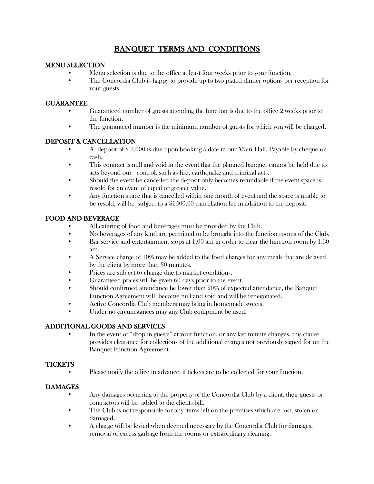#### BANQUET TERMS AND CONDITIONS

#### MENU SELECTION

- Menu selection is due to the office at least four weeks prior to your function.
- The Concordia Club is happy to provide up to two plated dinner options per reception for your guests

#### GUARANTEE

- Guaranteed number of guests attending the function is due to the office 2 weeks prior to the function.
- The guaranteed number is the minimum number of guests for which you will be charged.

#### DEPOSIT & CANCELLATION

- A deposit of \$ 1,000 is due upon booking a date in our Main Hall. Payable by cheque or cash.
- This contract is null and void in the event that the planned banquet cannot be held due to acts beyond our control, such as fire, earthquake and criminal acts.
- Should the event be cancelled the deposit only becomes refundable if the event space is resold for an event of equal or greater value.
- Any function space that is cancelled within one month of event and the space is unable to be resold, will be subject to a \$1500.00 cancellation fee in addition to the deposit.

#### FOOD AND BEVERAGE

- All catering of food and beverages must be provided by the Club.
- No beverages of any kind are permitted to be brought into the function rooms of the Club.
- Bar service and entertainment stops at 1.00 am in order to clear the function room by 1.30 am.
- A Service charge of 10% may be added to the food charges for any meals that are delayed by the client by more than 30 minutes.
- Prices are subject to change due to market conditions.
- Guaranteed prices will be given 60 days prior to the event.
- Should confirmed attendance be lower than 20% of expected attendance, the Banquet Function Agreement will become null and void and will be renegotiated.
- Active Concordia Club members may bring in homemade sweets.
- Under no circumstances may any Club equipment be used.

#### ADDITIONAL GOODS AND SERVICES

• In the event of "drop in guests" at your function, or any last minute changes, this clause provides clearance for collections of the additional charges not previously signed for on the Banquet Function Agreement.

#### **TICKETS**

• Please notify the office in advance, if tickets are to be collected for your function.

#### DAMAGES

- Any damages occurring to the property of the Concordia Club by a client, their guests or contractors will be added to the clients bill.
- The Club is not responsible for any items left on the premises which are lost, stolen or damaged.
- A charge will be levied when deemed necessary by the Concordia Club for damages, removal of excess garbage from the rooms or extraordinary cleaning.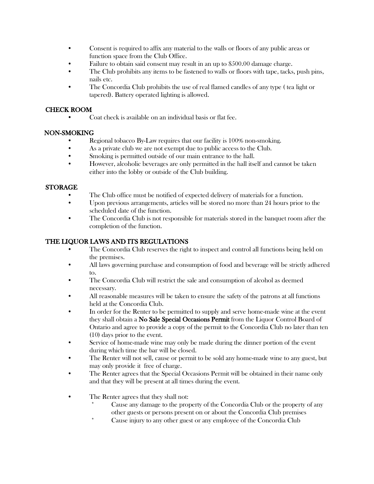- Consent is required to affix any material to the walls or floors of any public areas or function space from the Club Office.
- Failure to obtain said consent may result in an up to \$500.00 damage charge.
- The Club prohibits any items to be fastened to walls or floors with tape, tacks, push pins, nails etc.
- The Concordia Club prohibits the use of real flamed candles of any type ( tea light or tapered). Battery operated lighting is allowed.

#### CHECK ROOM

• Coat check is available on an individual basis or flat fee.

#### NON-SMOKING

- Regional tobacco By-Law requires that our facility is 100% non-smoking.
- As a private club we are not exempt due to public access to the Club.
- Smoking is permitted outside of our main entrance to the hall.
- However, alcoholic beverages are only permitted in the hall itself and cannot be taken either into the lobby or outside of the Club building.

#### STORAGE

- The Club office must be notified of expected delivery of materials for a function.
- Upon previous arrangements, articles will be stored no more than 24 hours prior to the scheduled date of the function.
- The Concordia Club is not responsible for materials stored in the banquet room after the completion of the function.

#### THE LIQUOR LAWS AND ITS REGULATIONS

- The Concordia Club reserves the right to inspect and control all functions being held on the premises.
- All laws governing purchase and consumption of food and beverage will be strictly adhered to.
- The Concordia Club will restrict the sale and consumption of alcohol as deemed necessary.
- All reasonable measures will be taken to ensure the safety of the patrons at all functions held at the Concordia Club.
- In order for the Renter to be permitted to supply and serve home-made wine at the event they shall obtain a No Sale Special Occasions Permit from the Liquor Control Board of Ontario and agree to provide a copy of the permit to the Concordia Club no later than ten (10) days prior to the event.
- Service of home-made wine may only be made during the dinner portion of the event during which time the bar will be closed.
- The Renter will not sell, cause or permit to be sold any home-made wine to any guest, but may only provide it free of charge.
- The Renter agrees that the Special Occasions Permit will be obtained in their name only and that they will be present at all times during the event.
- The Renter agrees that they shall not:
	- Cause any damage to the property of the Concordia Club or the property of any other guests or persons present on or about the Concordia Club premises
	- \* Cause injury to any other guest or any employee of the Concordia Club